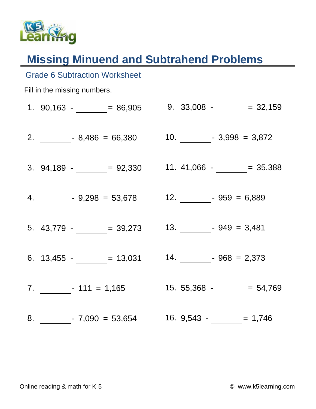

## **Missing Minuend and Subtrahend Problems**

| <b>Grade 6 Subtraction Worksheet</b> |  |                                              |  |  |  |  |
|--------------------------------------|--|----------------------------------------------|--|--|--|--|
| Fill in the missing numbers.         |  |                                              |  |  |  |  |
|                                      |  | 1. $90,163 -$ = 86,905 9. 33,008 - = 32,159  |  |  |  |  |
|                                      |  |                                              |  |  |  |  |
|                                      |  | 3. $94,189  = 92,330$ 11. $41,066  = 35,388$ |  |  |  |  |
|                                      |  |                                              |  |  |  |  |
|                                      |  | 5. $43,779$ - $\_\_$ = 39,273                |  |  |  |  |
|                                      |  | 6. $13,455  = 13,031$ 14. $= 968 = 2,373$    |  |  |  |  |
|                                      |  |                                              |  |  |  |  |
|                                      |  |                                              |  |  |  |  |